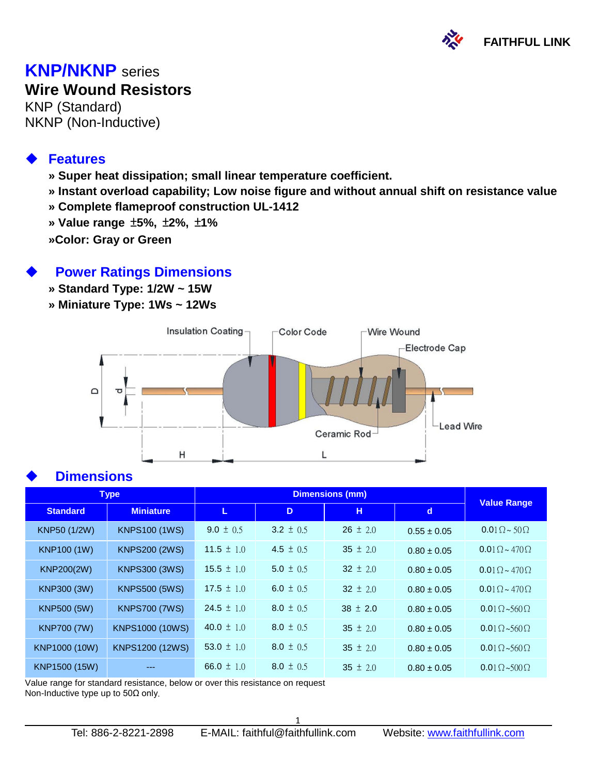

### **KNP/NKNP** series **Wire Wound Resistors**

KNP (Standard) NKNP (Non-Inductive)

#### **Features**

- **» Super heat dissipation; small linear temperature coefficient.**
- **» Instant overload capability; Low noise figure and without annual shift on resistance value**
- **» Complete flameproof construction UL-1412**
- **» Value range** ±**5%,** ±**2%,** ±**1%**
- **»Color: Gray or Green**

#### **Power Ratings Dimensions**

- **» Standard Type: 1/2W ~ 15W**
- **» Miniature Type: 1Ws ~ 12Ws**



#### **Dimensions**

| <b>Type</b>        |                      |                |               |              |                 |                               |
|--------------------|----------------------|----------------|---------------|--------------|-----------------|-------------------------------|
| <b>Standard</b>    | <b>Miniature</b>     | L              | D             | н            | $\mathbf d$     | <b>Value Range</b>            |
| KNP50 (1/2W)       | <b>KNPS100 (1WS)</b> | 9.0 $\pm$ 0.5  | 3.2 $\pm$ 0.5 | $26 \pm 2.0$ | $0.55 \pm 0.05$ | $0.01\Omega \sim 50\Omega$    |
| <b>KNP100 (1W)</b> | <b>KNPS200 (2WS)</b> | 11.5 $\pm$ 1.0 | 4.5 $\pm$ 0.5 | 35 $\pm$ 2.0 | $0.80 \pm 0.05$ | $0.01 \Omega \sim 470 \Omega$ |
| KNP200(2W)         | <b>KNPS300 (3WS)</b> | 15.5 $\pm$ 1.0 | $5.0 \pm 0.5$ | 32 $\pm$ 2.0 | $0.80 \pm 0.05$ | $0.01\Omega \sim 470\Omega$   |
| KNP300 (3W)        | <b>KNPS500 (5WS)</b> | 17.5 $\pm$ 1.0 | 6.0 $\pm$ 0.5 | 32 $\pm$ 2.0 | $0.80 \pm 0.05$ | $0.01 \Omega \sim 470 \Omega$ |
| KNP500 (5W)        | <b>KNPS700 (7WS)</b> | 24.5 $\pm$ 1.0 | $8.0 \pm 0.5$ | $38 \pm 2.0$ | $0.80 \pm 0.05$ | $0.01\Omega \sim 560\Omega$   |
| <b>KNP700 (7W)</b> | KNPS1000 (10WS)      | 40.0 $\pm$ 1.0 | 8.0 $\pm$ 0.5 | 35 $\pm$ 2.0 | $0.80 \pm 0.05$ | $0.01\Omega \sim 560\Omega$   |
| KNP1000 (10W)      | KNPS1200 (12WS)      | 53.0 $\pm$ 1.0 | $8.0 \pm 0.5$ | 35 $\pm$ 2.0 | $0.80 \pm 0.05$ | $0.01\Omega \sim 560\Omega$   |
| KNP1500 (15W)      |                      | 66.0 $\pm$ 1.0 | $8.0 \pm 0.5$ | 35 $\pm$ 2.0 | $0.80 \pm 0.05$ | $0.01\Omega \sim 500\Omega$   |

Value range for standard resistance, below or over this resistance on request Non-Inductive type up to 50Ω only.

 $\overline{a}$ 

1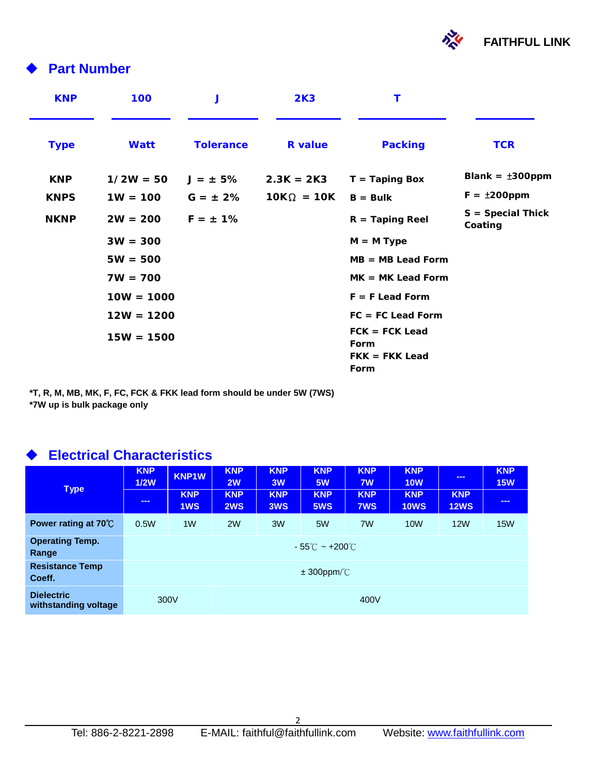

### **Part Number**

| <b>KNP</b>  | 100          | J                | 2K3               | Τ                                                    |                                |
|-------------|--------------|------------------|-------------------|------------------------------------------------------|--------------------------------|
| <b>Type</b> | Watt         | <b>Tolerance</b> | <b>R</b> value    | <b>Packing</b>                                       | <b>TCR</b>                     |
| <b>KNP</b>  | $1/2W = 50$  | $J = \pm 5\%$    | $2.3K = 2K3$      | $T =$ Taping Box                                     | Blank = $±300$ ppm             |
| <b>KNPS</b> | $1W = 100$   | $G = \pm 2\%$    | $10K\Omega = 10K$ | $B = Bulk$                                           | $F = \pm 200$ ppm              |
| <b>NKNP</b> | $2W = 200$   | $F = \pm 1\%$    |                   | $R =$ Taping Reel                                    | $S = Special Thick$<br>Coating |
|             | $3W = 300$   |                  |                   | $M = M$ Type                                         |                                |
|             | $5W = 500$   |                  |                   | $MB = MB$ Lead Form                                  |                                |
|             | $7W = 700$   |                  |                   | $MK = MK$ Lead Form                                  |                                |
|             | $10W = 1000$ |                  |                   | $F = F$ Lead Form                                    |                                |
|             | $12W = 1200$ |                  |                   | $FC = FC$ Lead Form                                  |                                |
|             | $15W = 1500$ |                  |                   | $FCK = FCK$ Lead<br>Form<br>$FKK = FKK$ Lead<br>Form |                                |

**\*T, R, M, MB, MK, F, FC, FCK & FKK lead form should be under 5W (7WS) \*7W up is bulk package only**

### **Electrical Characteristics**

 $\overline{a}$ 

| <b>Type</b>                               | <b>KNP</b><br>1/2W<br>$\frac{1}{2} \left( \frac{1}{2} \right) \left( \frac{1}{2} \right) \left( \frac{1}{2} \right) \left( \frac{1}{2} \right)$ | KNP1W<br><b>KNP</b><br>1WS | <b>KNP</b><br>2W<br><b>KNP</b><br>2WS | <b>KNP</b><br>3W<br><b>KNP</b><br>3WS | <b>KNP</b><br><b>5W</b><br><b>KNP</b><br>5WS | <b>KNP</b><br>7W<br><b>KNP</b><br><b>7WS</b> | <b>KNP</b><br><b>10W</b><br><b>KNP</b><br><b>10WS</b> | $\sim$ $\sim$<br><b>KNP</b><br><b>12WS</b> | <b>KNP</b><br><b>15W</b><br>$\frac{1}{2} \left( \frac{1}{2} \right) \left( \frac{1}{2} \right) \left( \frac{1}{2} \right) \left( \frac{1}{2} \right)$ |
|-------------------------------------------|-------------------------------------------------------------------------------------------------------------------------------------------------|----------------------------|---------------------------------------|---------------------------------------|----------------------------------------------|----------------------------------------------|-------------------------------------------------------|--------------------------------------------|-------------------------------------------------------------------------------------------------------------------------------------------------------|
| Power rating at $70^{\circ}$ C            | 0.5W                                                                                                                                            | 1 <sub>W</sub>             | 2W                                    | 3W                                    | 5W                                           | 7W                                           | 10 <sub>W</sub>                                       | <b>12W</b>                                 | <b>15W</b>                                                                                                                                            |
| <b>Operating Temp.</b><br>Range           | $-55^{\circ}$ C ~ +200 $^{\circ}$ C $^{-}$                                                                                                      |                            |                                       |                                       |                                              |                                              |                                                       |                                            |                                                                                                                                                       |
| <b>Resistance Temp</b><br>Coeff.          | $\pm$ 300ppm/ $\degree$ C                                                                                                                       |                            |                                       |                                       |                                              |                                              |                                                       |                                            |                                                                                                                                                       |
| <b>Dielectric</b><br>withstanding voltage | 300V<br>400V                                                                                                                                    |                            |                                       |                                       |                                              |                                              |                                                       |                                            |                                                                                                                                                       |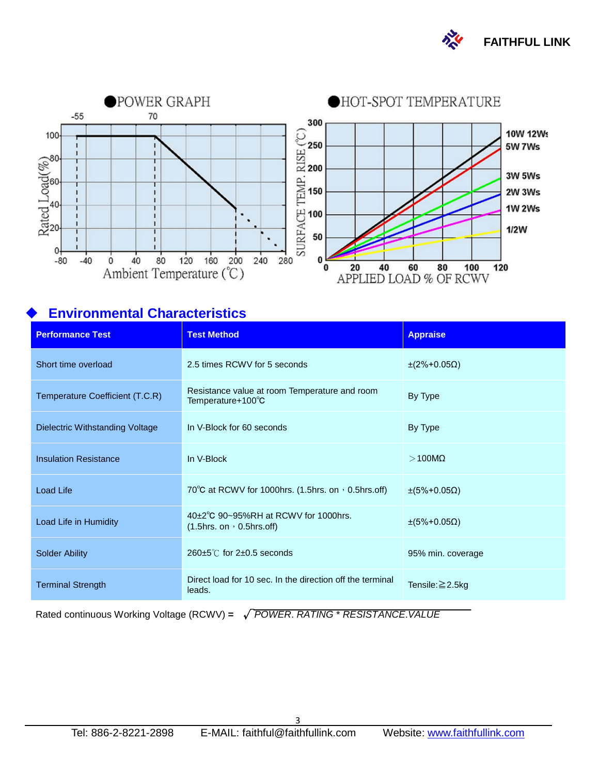



#### **Environmental Characteristics**

| <b>Performance Test</b>         | <b>Test Method</b>                                                         | <b>Appraise</b>          |  |
|---------------------------------|----------------------------------------------------------------------------|--------------------------|--|
| Short time overload             | 2.5 times RCWV for 5 seconds                                               | $±$ (2%+0.05Ω)           |  |
| Temperature Coefficient (T.C.R) | Resistance value at room Temperature and room<br>Temperature+100°C         | By Type                  |  |
| Dielectric Withstanding Voltage | In V-Block for 60 seconds                                                  | By Type                  |  |
| <b>Insulation Resistance</b>    | In V-Block                                                                 | $>100M\Omega$            |  |
| <b>Load Life</b>                | 70 $\degree$ C at RCWV for 1000hrs. (1.5hrs. on $\degree$ 0.5hrs.off)      | $\pm (5\% + 0.05\Omega)$ |  |
| Load Life in Humidity           | 40±2°C 90~95%RH at RCWV for 1000hrs.<br>$(1.5$ hrs. on $\cdot$ 0.5hrs.off) | $\pm(5\%+0.05\Omega)$    |  |
| <b>Solder Ability</b>           | $260 \pm 5^{\circ}$ for 2 $\pm 0.5$ seconds                                | 95% min. coverage        |  |
| <b>Terminal Strength</b>        | Direct load for 10 sec. In the direction off the terminal<br>leads.        | Tensile: $\geq$ 2.5kg    |  |

Rated continuous Working Voltage (RCWV) **=** √*POWER*. *RATING* \* *RESISTANCE*.*VALUE*

 $\overline{a}$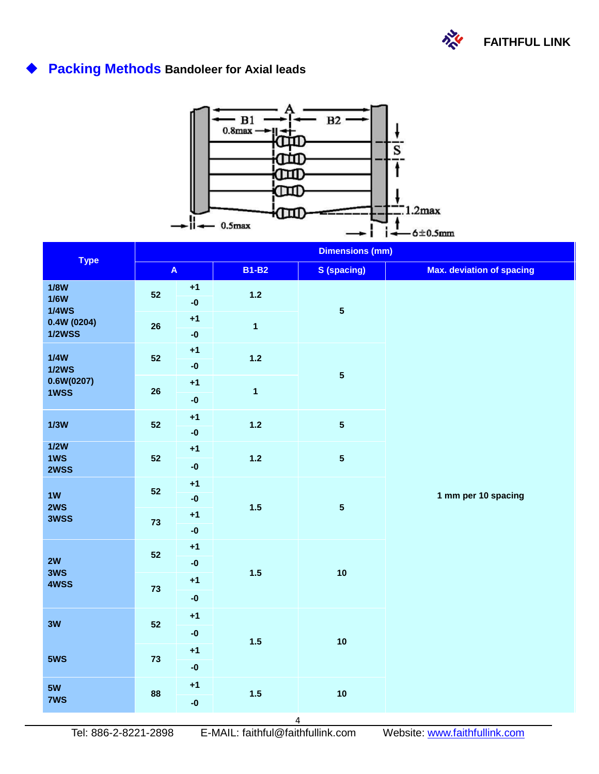

# **Packing Methods Bandoleer for Axial leads**



| <b>Type</b>                         | <b>Dimensions (mm)</b>    |                                    |                         |                         |                                  |  |  |  |
|-------------------------------------|---------------------------|------------------------------------|-------------------------|-------------------------|----------------------------------|--|--|--|
|                                     | $\boldsymbol{\mathsf{A}}$ |                                    | <b>B1-B2</b>            | <b>S</b> (spacing)      | <b>Max. deviation of spacing</b> |  |  |  |
| <b>1/8W</b><br>1/6W<br><b>1/4WS</b> | 52                        | $+1$<br>$-0$                       | $1.2$                   | $\overline{\mathbf{5}}$ |                                  |  |  |  |
| 0.4W(0204)<br><b>1/2WSS</b>         | 26                        | $+1$<br>$-0$                       | $\overline{\mathbf{1}}$ |                         |                                  |  |  |  |
| 1/4W<br>1/2WS                       | 52                        | $+1$<br>$\textbf{-0}$              | $1.2$                   |                         |                                  |  |  |  |
| 0.6W(0207)<br>1WSS                  | 26                        | $+1$<br>$-0$                       | $\overline{\mathbf{1}}$ | ${\bf 5}$               |                                  |  |  |  |
| 1/3W                                | 52                        | $+1$<br>$\textnormal{-}\mathbf{0}$ | $1.2$                   | ${\bf 5}$               |                                  |  |  |  |
| 1/2W<br>1WS<br>2WSS                 | 52                        | $+1$<br>$\textnormal{-}\mathbf{0}$ | $1.2$                   | ${\bf 5}$               |                                  |  |  |  |
| 1W<br>2WS                           | 52                        | $+1$<br>$\textbf{-0}$              | $1.5$                   | ${\bf 5}$               | 1 mm per 10 spacing              |  |  |  |
| 3WSS                                | 73                        | $+1$<br>$-0$                       |                         |                         |                                  |  |  |  |
| 2W<br>3WS<br>4WSS                   | 52                        | $+1$<br>$\textnormal{-}\mathbf{0}$ | $1.5$                   | 10                      |                                  |  |  |  |
|                                     | 73                        | $+1$<br>$\textbf{-0}$              |                         |                         |                                  |  |  |  |
| 3W                                  | 52                        | $+1$                               | $1.5$                   | 10                      |                                  |  |  |  |
| 5WS                                 | 73                        | $\textnormal{-}\mathbf{0}$<br>$+1$ |                         |                         |                                  |  |  |  |
|                                     |                           | $\textnormal{-}\mathbf{0}$         |                         |                         |                                  |  |  |  |
| 5W<br>7WS                           | 88                        | $+1$<br>$-0$                       | $1.5$                   | 10                      |                                  |  |  |  |

 $\overline{a}$ 

4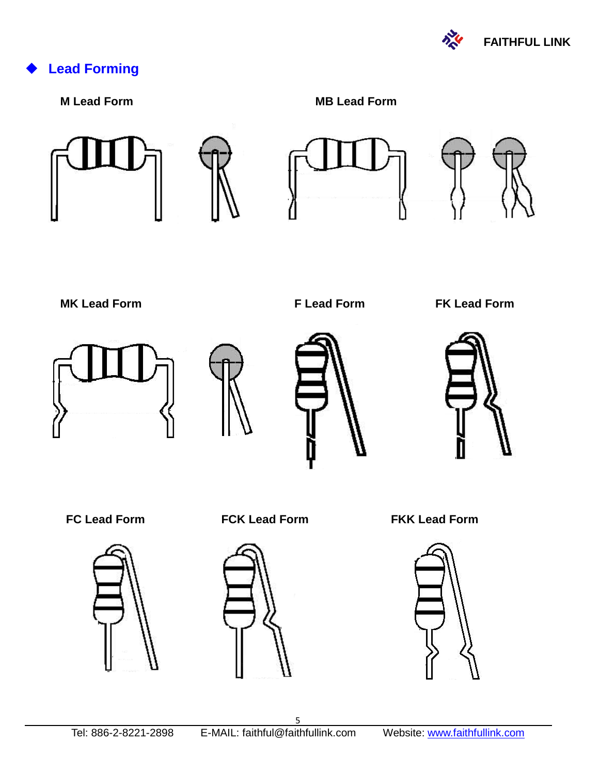

# **Lead Forming**

**M Lead Form MB Lead Form** 













 **MK Lead Form F Lead Form FK Lead Form**









 **FC Lead Form FCK Lead Form FKK Lead Form**



 $\overline{a}$ 

5